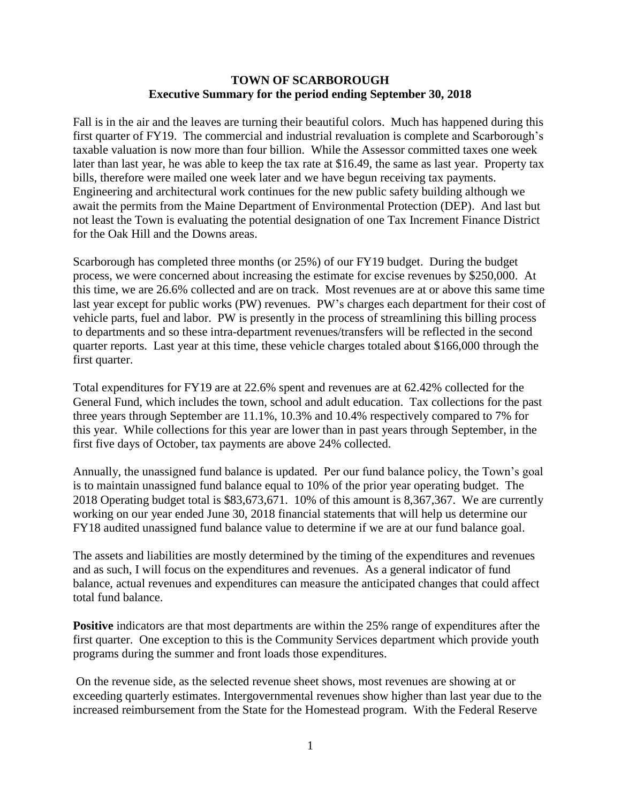#### **TOWN OF SCARBOROUGH Executive Summary for the period ending September 30, 2018**

Fall is in the air and the leaves are turning their beautiful colors. Much has happened during this first quarter of FY19. The commercial and industrial revaluation is complete and Scarborough's taxable valuation is now more than four billion. While the Assessor committed taxes one week later than last year, he was able to keep the tax rate at \$16.49, the same as last year. Property tax bills, therefore were mailed one week later and we have begun receiving tax payments. Engineering and architectural work continues for the new public safety building although we await the permits from the Maine Department of Environmental Protection (DEP). And last but not least the Town is evaluating the potential designation of one Tax Increment Finance District for the Oak Hill and the Downs areas.

Scarborough has completed three months (or 25%) of our FY19 budget. During the budget process, we were concerned about increasing the estimate for excise revenues by \$250,000. At this time, we are 26.6% collected and are on track. Most revenues are at or above this same time last year except for public works (PW) revenues. PW's charges each department for their cost of vehicle parts, fuel and labor. PW is presently in the process of streamlining this billing process to departments and so these intra-department revenues/transfers will be reflected in the second quarter reports. Last year at this time, these vehicle charges totaled about \$166,000 through the first quarter.

Total expenditures for FY19 are at 22.6% spent and revenues are at 62.42% collected for the General Fund, which includes the town, school and adult education. Tax collections for the past three years through September are 11.1%, 10.3% and 10.4% respectively compared to 7% for this year. While collections for this year are lower than in past years through September, in the first five days of October, tax payments are above 24% collected.

Annually, the unassigned fund balance is updated. Per our fund balance policy, the Town's goal is to maintain unassigned fund balance equal to 10% of the prior year operating budget. The 2018 Operating budget total is \$83,673,671. 10% of this amount is 8,367,367. We are currently working on our year ended June 30, 2018 financial statements that will help us determine our FY18 audited unassigned fund balance value to determine if we are at our fund balance goal.

The assets and liabilities are mostly determined by the timing of the expenditures and revenues and as such, I will focus on the expenditures and revenues. As a general indicator of fund balance, actual revenues and expenditures can measure the anticipated changes that could affect total fund balance.

**Positive** indicators are that most departments are within the 25% range of expenditures after the first quarter. One exception to this is the Community Services department which provide youth programs during the summer and front loads those expenditures.

On the revenue side, as the selected revenue sheet shows, most revenues are showing at or exceeding quarterly estimates. Intergovernmental revenues show higher than last year due to the increased reimbursement from the State for the Homestead program. With the Federal Reserve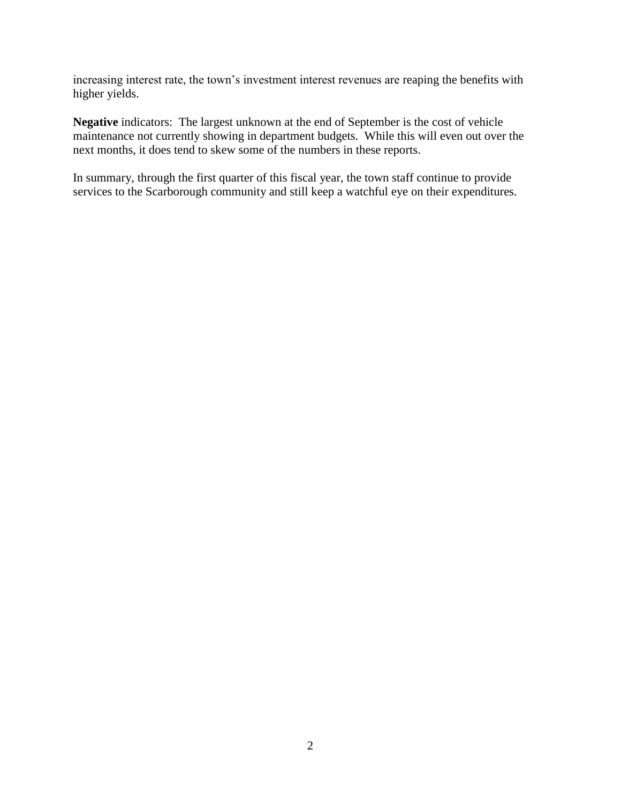increasing interest rate, the town's investment interest revenues are reaping the benefits with higher yields.

**Negative** indicators: The largest unknown at the end of September is the cost of vehicle maintenance not currently showing in department budgets. While this will even out over the next months, it does tend to skew some of the numbers in these reports.

In summary, through the first quarter of this fiscal year, the town staff continue to provide services to the Scarborough community and still keep a watchful eye on their expenditures.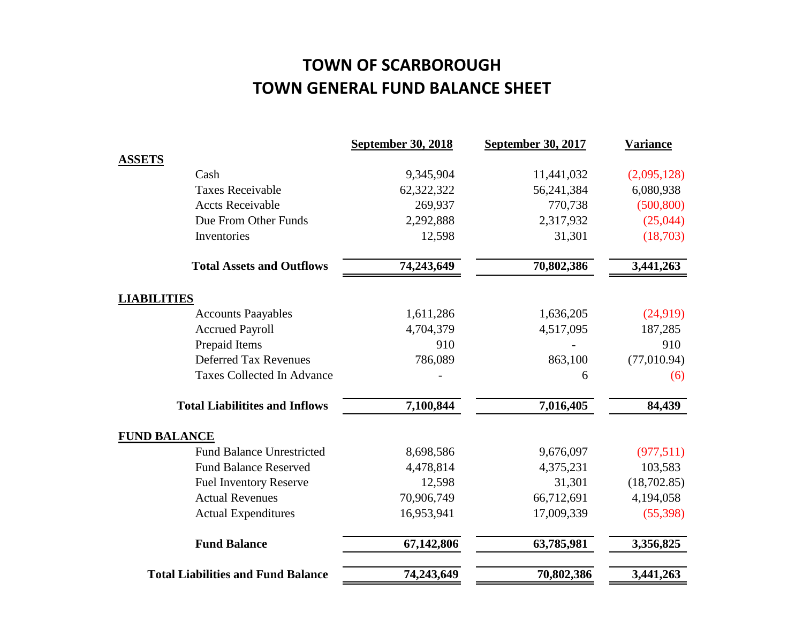# **TOWN OF SCARBOROUGH TOWN GENERAL FUND BALANCE SHEET**

|                                           | <b>September 30, 2018</b> | <b>September 30, 2017</b> | <b>Variance</b> |
|-------------------------------------------|---------------------------|---------------------------|-----------------|
| <b>ASSETS</b>                             |                           |                           |                 |
| Cash                                      | 9,345,904                 | 11,441,032                | (2,095,128)     |
| <b>Taxes Receivable</b>                   | 62,322,322                | 56,241,384                | 6,080,938       |
| <b>Accts Receivable</b>                   | 269,937                   | 770,738                   | (500, 800)      |
| Due From Other Funds                      | 2,292,888                 | 2,317,932                 | (25,044)        |
| Inventories                               | 12,598                    | 31,301                    | (18,703)        |
| <b>Total Assets and Outflows</b>          | 74,243,649                | 70,802,386                | 3,441,263       |
| <b>LIABILITIES</b>                        |                           |                           |                 |
| <b>Accounts Paayables</b>                 | 1,611,286                 | 1,636,205                 | (24,919)        |
| <b>Accrued Payroll</b>                    | 4,704,379                 | 4,517,095                 | 187,285         |
| Prepaid Items                             | 910                       |                           | 910             |
| <b>Deferred Tax Revenues</b>              | 786,089                   | 863,100                   | (77,010.94)     |
| <b>Taxes Collected In Advance</b>         |                           | 6                         | (6)             |
| <b>Total Liabilitites and Inflows</b>     | 7,100,844                 | 7,016,405                 | 84,439          |
| <b>FUND BALANCE</b>                       |                           |                           |                 |
| <b>Fund Balance Unrestricted</b>          | 8,698,586                 | 9,676,097                 | (977,511)       |
| <b>Fund Balance Reserved</b>              | 4,478,814                 | 4,375,231                 | 103,583         |
| <b>Fuel Inventory Reserve</b>             | 12,598                    | 31,301                    | (18,702.85)     |
| <b>Actual Revenues</b>                    | 70,906,749                | 66,712,691                | 4,194,058       |
| <b>Actual Expenditures</b>                | 16,953,941                | 17,009,339                | (55, 398)       |
| <b>Fund Balance</b>                       | 67,142,806                | 63,785,981                | 3,356,825       |
| <b>Total Liabilities and Fund Balance</b> | 74,243,649                | 70,802,386                | 3,441,263       |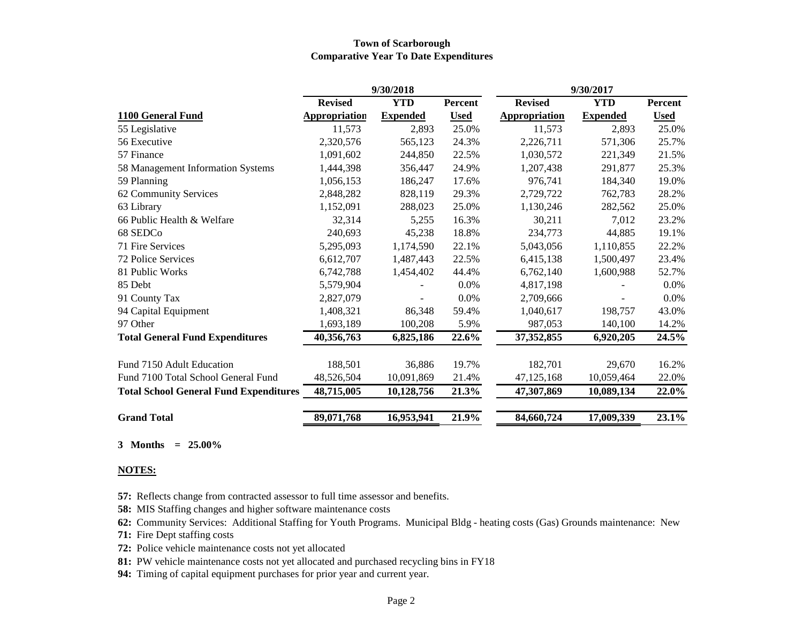#### **Town of Scarborough Comparative Year To Date Expenditures**

|                                               |                      | 9/30/2018       |             | 9/30/2017            |                 |             |
|-----------------------------------------------|----------------------|-----------------|-------------|----------------------|-----------------|-------------|
|                                               | <b>Revised</b>       | <b>YTD</b>      | Percent     | <b>Revised</b>       | <b>YTD</b>      | Percent     |
| 1100 General Fund                             | <b>Appropriation</b> | <b>Expended</b> | <b>Used</b> | <b>Appropriation</b> | <b>Expended</b> | <b>Used</b> |
| 55 Legislative                                | 11,573               | 2,893           | 25.0%       | 11,573               | 2,893           | 25.0%       |
| 56 Executive                                  | 2,320,576            | 565,123         | 24.3%       | 2,226,711            | 571,306         | 25.7%       |
| 57 Finance                                    | 1,091,602            | 244,850         | 22.5%       | 1,030,572            | 221,349         | 21.5%       |
| 58 Management Information Systems             | 1,444,398            | 356,447         | 24.9%       | 1,207,438            | 291,877         | 25.3%       |
| 59 Planning                                   | 1,056,153            | 186,247         | 17.6%       | 976,741              | 184,340         | 19.0%       |
| 62 Community Services                         | 2,848,282            | 828,119         | 29.3%       | 2,729,722            | 762,783         | 28.2%       |
| 63 Library                                    | 1,152,091            | 288,023         | 25.0%       | 1,130,246            | 282,562         | 25.0%       |
| 66 Public Health & Welfare                    | 32,314               | 5,255           | 16.3%       | 30,211               | 7,012           | 23.2%       |
| 68 SEDCo                                      | 240,693              | 45,238          | 18.8%       | 234,773              | 44,885          | 19.1%       |
| 71 Fire Services                              | 5,295,093            | 1,174,590       | 22.1%       | 5,043,056            | 1,110,855       | 22.2%       |
| 72 Police Services                            | 6,612,707            | 1,487,443       | 22.5%       | 6,415,138            | 1,500,497       | 23.4%       |
| 81 Public Works                               | 6,742,788            | 1,454,402       | 44.4%       | 6,762,140            | 1,600,988       | 52.7%       |
| 85 Debt                                       | 5,579,904            |                 | 0.0%        | 4,817,198            |                 | 0.0%        |
| 91 County Tax                                 | 2,827,079            |                 | 0.0%        | 2,709,666            |                 | 0.0%        |
| 94 Capital Equipment                          | 1,408,321            | 86,348          | 59.4%       | 1,040,617            | 198,757         | 43.0%       |
| 97 Other                                      | 1,693,189            | 100,208         | 5.9%        | 987,053              | 140,100         | 14.2%       |
| <b>Total General Fund Expenditures</b>        | 40,356,763           | 6,825,186       | 22.6%       | 37,352,855           | 6,920,205       | 24.5%       |
| Fund 7150 Adult Education                     | 188,501              | 36,886          | 19.7%       | 182,701              | 29,670          | 16.2%       |
| Fund 7100 Total School General Fund           | 48,526,504           | 10,091,869      | 21.4%       | 47,125,168           | 10,059,464      | 22.0%       |
| <b>Total School General Fund Expenditures</b> | 48,715,005           | 10,128,756      | 21.3%       | 47,307,869           | 10,089,134      | 22.0%       |
| <b>Grand Total</b>                            | 89,071,768           | 16,953,941      | 21.9%       | 84,660,724           | 17,009,339      | 23.1%       |

**3 Months = 25.00%**

#### **NOTES:**

**57:** Reflects change from contracted assessor to full time assessor and benefits.

**58:** MIS Staffing changes and higher software maintenance costs

**62:** Community Services: Additional Staffing for Youth Programs. Municipal Bldg - heating costs (Gas) Grounds maintenance: New

**71:** Fire Dept staffing costs

**72:** Police vehicle maintenance costs not yet allocated

**81:** PW vehicle maintenance costs not yet allocated and purchased recycling bins in FY18

**94:** Timing of capital equipment purchases for prior year and current year.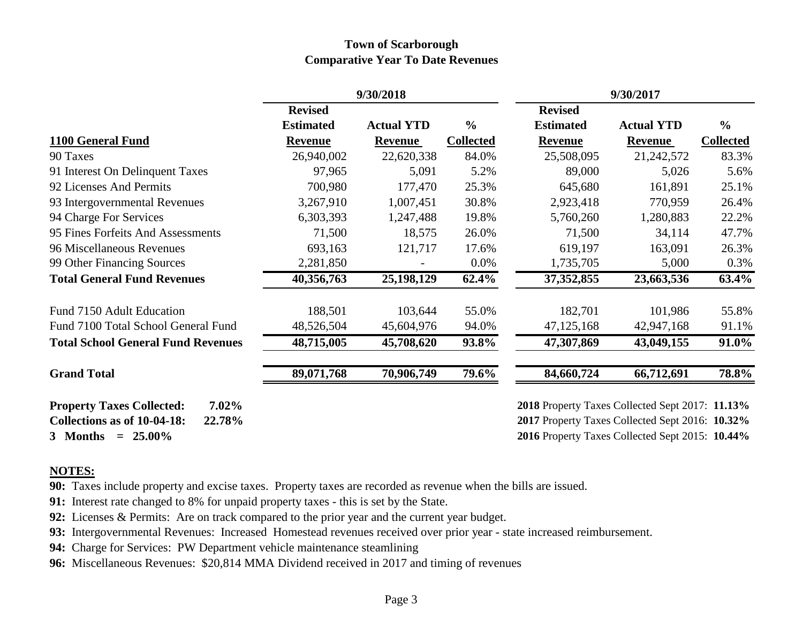## **Town of Scarborough Comparative Year To Date Revenues**

|                                                                                       | 9/30/2018        |                   |                  | 9/30/2017                                                                                          |                   |                  |  |
|---------------------------------------------------------------------------------------|------------------|-------------------|------------------|----------------------------------------------------------------------------------------------------|-------------------|------------------|--|
|                                                                                       | <b>Revised</b>   |                   |                  | <b>Revised</b>                                                                                     |                   |                  |  |
|                                                                                       | <b>Estimated</b> | <b>Actual YTD</b> | $\frac{0}{0}$    | <b>Estimated</b>                                                                                   | <b>Actual YTD</b> | $\frac{6}{6}$    |  |
| 1100 General Fund                                                                     | <b>Revenue</b>   | <b>Revenue</b>    | <b>Collected</b> | <b>Revenue</b>                                                                                     | <b>Revenue</b>    | <b>Collected</b> |  |
| 90 Taxes                                                                              | 26,940,002       | 22,620,338        | 84.0%            | 25,508,095                                                                                         | 21,242,572        | 83.3%            |  |
| 91 Interest On Delinquent Taxes                                                       | 97,965           | 5,091             | 5.2%             | 89,000                                                                                             | 5,026             | 5.6%             |  |
| 92 Licenses And Permits                                                               | 700,980          | 177,470           | 25.3%            | 645,680                                                                                            | 161,891           | 25.1%            |  |
| 93 Intergovernmental Revenues                                                         | 3,267,910        | 1,007,451         | 30.8%            | 2,923,418                                                                                          | 770,959           | 26.4%            |  |
| 94 Charge For Services                                                                | 6,303,393        | 1,247,488         | 19.8%            | 5,760,260                                                                                          | 1,280,883         | 22.2%            |  |
| 95 Fines Forfeits And Assessments                                                     | 71,500           | 18,575            | 26.0%            | 71,500                                                                                             | 34,114            | 47.7%            |  |
| 96 Miscellaneous Revenues                                                             | 693,163          | 121,717           | 17.6%            | 619,197                                                                                            | 163,091           | 26.3%            |  |
| 99 Other Financing Sources                                                            | 2,281,850        |                   | 0.0%             | 1,735,705                                                                                          | 5,000             | 0.3%             |  |
| <b>Total General Fund Revenues</b>                                                    | 40,356,763       | 25,198,129        | 62.4%            | $\overline{37,352,855}$                                                                            | 23,663,536        | 63.4%            |  |
| Fund 7150 Adult Education                                                             | 188,501          | 103,644           | 55.0%            | 182,701                                                                                            | 101,986           | 55.8%            |  |
| Fund 7100 Total School General Fund                                                   | 48,526,504       | 45,604,976        | 94.0%            | 47, 125, 168                                                                                       | 42,947,168        | 91.1%            |  |
| <b>Total School General Fund Revenues</b>                                             | 48,715,005       | 45,708,620        | 93.8%            | 47,307,869                                                                                         | 43,049,155        | 91.0%            |  |
| <b>Grand Total</b>                                                                    | 89,071,768       | 70,906,749        | 79.6%            | 84,660,724                                                                                         | 66,712,691        | 78.8%            |  |
| $7.02\%$<br><b>Property Taxes Collected:</b><br>Collections as of 10-04-18:<br>22.78% |                  |                   |                  | 2018 Property Taxes Collected Sept 2017: 11.13%<br>2017 Property Taxes Collected Sept 2016: 10.32% |                   |                  |  |
| 3 Months $= 25.00\%$                                                                  |                  |                   |                  | 2016 Property Taxes Collected Sept 2015: 10.44%                                                    |                   |                  |  |

### **NOTES:**

**90:** Taxes include property and excise taxes. Property taxes are recorded as revenue when the bills are issued.

**91:** Interest rate changed to 8% for unpaid property taxes - this is set by the State.

- **92:** Licenses & Permits: Are on track compared to the prior year and the current year budget.
- **93:** Intergovernmental Revenues: Increased Homestead revenues received over prior year state increased reimbursement.
- **94:** Charge for Services: PW Department vehicle maintenance steamlining
- **96:** Miscellaneous Revenues: \$20,814 MMA Dividend received in 2017 and timing of revenues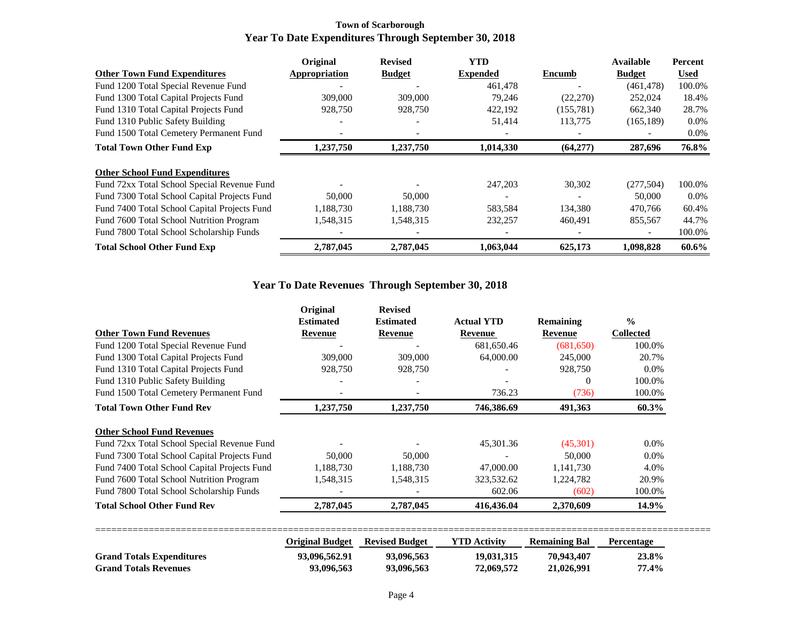#### **Town of Scarborough Year To Date Expenditures Through September 30, 2018**

|                                              | Original      | <b>Revised</b> | <b>YTD</b>      |            | <b>Available</b> | Percent     |
|----------------------------------------------|---------------|----------------|-----------------|------------|------------------|-------------|
| <b>Other Town Fund Expenditures</b>          | Appropriation | <b>Budget</b>  | <b>Expended</b> | Encumb     | <b>Budget</b>    | <b>Used</b> |
| Fund 1200 Total Special Revenue Fund         |               |                | 461,478         |            | (461, 478)       | 100.0%      |
| Fund 1300 Total Capital Projects Fund        | 309,000       | 309,000        | 79,246          | (22, 270)  | 252,024          | 18.4%       |
| Fund 1310 Total Capital Projects Fund        | 928,750       | 928,750        | 422,192         | (155, 781) | 662,340          | 28.7%       |
| Fund 1310 Public Safety Building             |               |                | 51.414          | 113,775    | (165, 189)       | $0.0\%$     |
| Fund 1500 Total Cemetery Permanent Fund      |               |                |                 |            |                  | $0.0\%$     |
| <b>Total Town Other Fund Exp</b>             | 1,237,750     | 1,237,750      | 1,014,330       | (64,277)   | 287,696          | 76.8%       |
| <b>Other School Fund Expenditures</b>        |               |                |                 |            |                  |             |
| Fund 72xx Total School Special Revenue Fund  |               |                | 247,203         | 30,302     | (277, 504)       | 100.0%      |
| Fund 7300 Total School Capital Projects Fund | 50,000        | 50,000         |                 |            | 50,000           | $0.0\%$     |
| Fund 7400 Total School Capital Projects Fund | 1,188,730     | 1,188,730      | 583,584         | 134,380    | 470,766          | 60.4%       |
| Fund 7600 Total School Nutrition Program     | 1,548,315     | 1,548,315      | 232,257         | 460,491    | 855,567          | 44.7%       |
| Fund 7800 Total School Scholarship Funds     |               |                |                 |            |                  | 100.0%      |
| <b>Total School Other Fund Exp</b>           | 2,787,045     | 2,787,045      | 1,063,044       | 625,173    | 1,098,828        | 60.6%       |

## **Year To Date Revenues Through September 30, 2018**

|                                              | Original                    | <b>Revised</b>              |                              |                      |                                   |
|----------------------------------------------|-----------------------------|-----------------------------|------------------------------|----------------------|-----------------------------------|
| <b>Other Town Fund Revenues</b>              | <b>Estimated</b><br>Revenue | <b>Estimated</b><br>Revenue | <b>Actual YTD</b><br>Revenue | Remaining<br>Revenue | $\frac{0}{0}$<br><b>Collected</b> |
|                                              |                             |                             |                              |                      |                                   |
| Fund 1200 Total Special Revenue Fund         |                             |                             | 681,650.46                   | (681,650)            | 100.0%                            |
| Fund 1300 Total Capital Projects Fund        | 309,000                     | 309,000                     | 64,000.00                    | 245,000              | 20.7%                             |
| Fund 1310 Total Capital Projects Fund        | 928,750                     | 928,750                     |                              | 928,750              | $0.0\%$                           |
| Fund 1310 Public Safety Building             |                             |                             |                              | $\Omega$             | 100.0%                            |
| Fund 1500 Total Cemetery Permanent Fund      |                             |                             | 736.23                       | (736)                | 100.0%                            |
| <b>Total Town Other Fund Rev</b>             | 1,237,750                   | 1,237,750                   | 746,386.69                   | 491,363              | 60.3%                             |
| <b>Other School Fund Revenues</b>            |                             |                             |                              |                      |                                   |
| Fund 72xx Total School Special Revenue Fund  |                             |                             | 45,301.36                    | (45,301)             | $0.0\%$                           |
| Fund 7300 Total School Capital Projects Fund | 50,000                      | 50,000                      |                              | 50,000               | $0.0\%$                           |
| Fund 7400 Total School Capital Projects Fund | 1,188,730                   | 1,188,730                   | 47,000.00                    | 1.141.730            | 4.0%                              |
| Fund 7600 Total School Nutrition Program     | 1,548,315                   | 1,548,315                   | 323,532.62                   | 1,224,782            | 20.9%                             |
| Fund 7800 Total School Scholarship Funds     |                             |                             | 602.06                       | (602)                | 100.0%                            |
| <b>Total School Other Fund Rev</b>           | 2,787,045                   | 2,787,045                   | 416,436.04                   | 2,370,609            | 14.9%                             |
|                                              |                             |                             |                              |                      |                                   |

|                                  | Original Budget | <b>Revised Budget</b> | <b>YTD Activity</b> | <b>Remaining Bal</b> | Percentage |  |
|----------------------------------|-----------------|-----------------------|---------------------|----------------------|------------|--|
| <b>Grand Totals Expenditures</b> | 93,096,562.91   | 93,096.563            | 19.031.315          | 70.943.407           | 23.8%      |  |
| <b>Grand Totals Revenues</b>     | 93,096,563      | 93.096.563            | 72.069.572          | 21,026,991           | 77.4%      |  |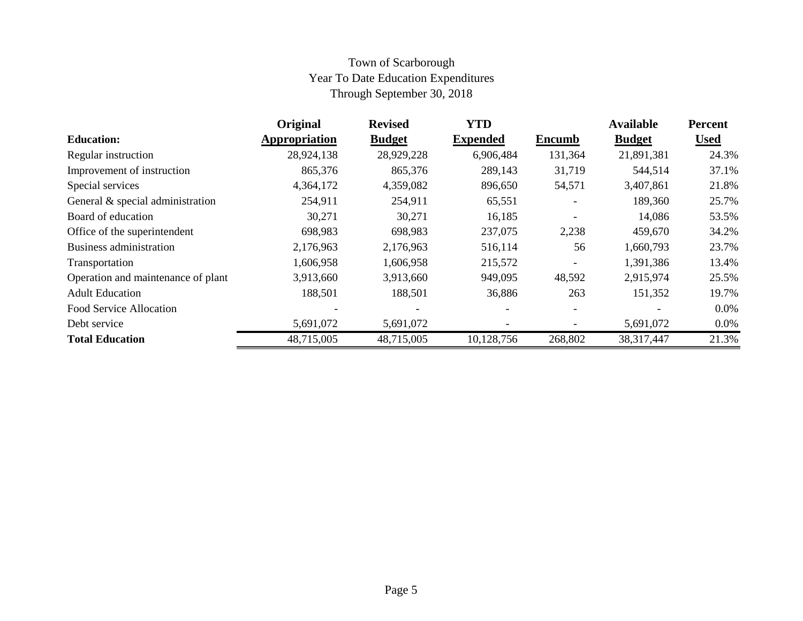## Town of Scarborough Year To Date Education Expenditures Through September 30, 2018

|                                    | Original      | <b>Revised</b> | <b>YTD</b>      |                          | <b>Available</b> | <b>Percent</b> |
|------------------------------------|---------------|----------------|-----------------|--------------------------|------------------|----------------|
| <b>Education:</b>                  | Appropriation | <b>Budget</b>  | <b>Expended</b> | <b>Encumb</b>            | <b>Budget</b>    | <b>Used</b>    |
| Regular instruction                | 28,924,138    | 28,929,228     | 6,906,484       | 131,364                  | 21,891,381       | 24.3%          |
| Improvement of instruction         | 865,376       | 865,376        | 289,143         | 31,719                   | 544,514          | 37.1%          |
| Special services                   | 4,364,172     | 4,359,082      | 896,650         | 54,571                   | 3,407,861        | 21.8%          |
| General & special administration   | 254,911       | 254,911        | 65,551          |                          | 189,360          | 25.7%          |
| Board of education                 | 30,271        | 30,271         | 16,185          |                          | 14,086           | 53.5%          |
| Office of the superintendent       | 698,983       | 698,983        | 237,075         | 2,238                    | 459,670          | 34.2%          |
| Business administration            | 2,176,963     | 2,176,963      | 516,114         | 56                       | 1,660,793        | 23.7%          |
| Transportation                     | 1,606,958     | 1,606,958      | 215,572         | $\overline{\phantom{a}}$ | 1,391,386        | 13.4%          |
| Operation and maintenance of plant | 3,913,660     | 3,913,660      | 949,095         | 48,592                   | 2,915,974        | 25.5%          |
| <b>Adult Education</b>             | 188,501       | 188,501        | 36,886          | 263                      | 151,352          | 19.7%          |
| Food Service Allocation            |               |                |                 |                          |                  | $0.0\%$        |
| Debt service                       | 5,691,072     | 5,691,072      |                 | $\overline{\phantom{a}}$ | 5,691,072        | $0.0\%$        |
| <b>Total Education</b>             | 48,715,005    | 48,715,005     | 10,128,756      | 268,802                  | 38, 317, 447     | 21.3%          |